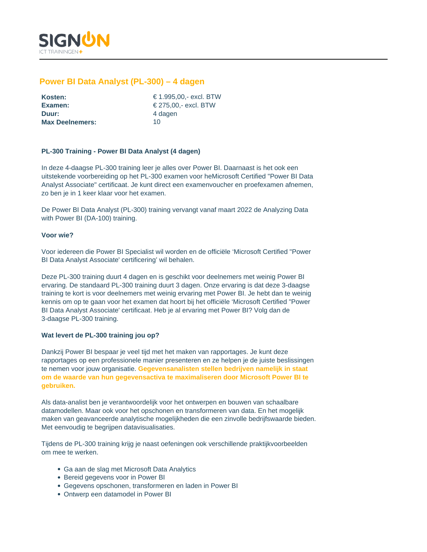

# **Power BI Data Analyst (PL-300) – 4 dagen**

| Kosten:                |     |
|------------------------|-----|
| Examen:                | €∶  |
| Duur:                  | 4 0 |
| <b>Max Deelnemers:</b> | 10  |

**Kosten:** € 1.995,00,- excl. BTW **Examen:** € 275,00,- excl. BTW **Duur:** 4 dagen

# **PL-300 Training - Power BI Data Analyst (4 dagen)**

In deze 4-daagse PL-300 training leer je alles over Power BI. Daarnaast is het ook een uitstekende voorbereiding op het PL-300 examen voor heMicrosoft Certified "Power BI Data Analyst Associate" certificaat. Je kunt direct een examenvoucher en proefexamen afnemen, zo ben je in 1 keer klaar voor het examen.

De Power BI Data Analyst (PL-300) training vervangt vanaf maart 2022 de Analyzing Data with Power BI (DA-100) training.

### **Voor wie?**

Voor iedereen die Power BI Specialist wil worden en de officiële 'Microsoft Certified "Power BI Data Analyst Associate' certificering' wil behalen.

Deze PL-300 training duurt 4 dagen en is geschikt voor deelnemers met weinig Power BI ervaring. De standaard PL-300 training duurt 3 dagen. Onze ervaring is dat deze 3-daagse training te kort is voor deelnemers met weinig ervaring met Power BI. Je hebt dan te weinig kennis om op te gaan voor het examen dat hoort bij het officiële 'Microsoft Certified "Power BI Data Analyst Associate' certificaat. Heb je al ervaring met Power BI? Volg dan de 3-daagse PL-300 training.

# **Wat levert de PL-300 training jou op?**

Dankzij Power BI bespaar je veel tijd met het maken van rapportages. Je kunt deze rapportages op een professionele manier presenteren en ze helpen je de juiste beslissingen te nemen voor jouw organisatie. **Gegevensanalisten stellen bedrijven namelijk in staat om de waarde van hun gegevensactiva te maximaliseren door Microsoft Power BI te gebruiken.** 

Als data-analist ben je verantwoordelijk voor het ontwerpen en bouwen van schaalbare datamodellen. Maar ook voor het opschonen en transformeren van data. En het mogelijk maken van geavanceerde analytische mogelijkheden die een zinvolle bedrijfswaarde bieden. Met eenvoudig te begrijpen datavisualisaties.

Tijdens de PL-300 training krijg je naast oefeningen ook verschillende praktijkvoorbeelden om mee te werken.

- Ga aan de slag met Microsoft Data Analytics
- Bereid gegevens voor in Power BI
- Gegevens opschonen, transformeren en laden in Power BI
- Ontwerp een datamodel in Power BI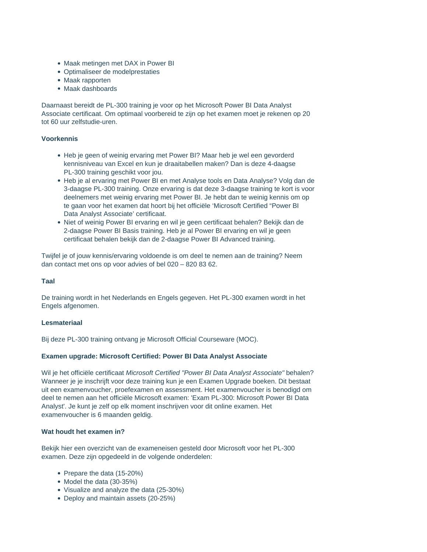- Maak metingen met DAX in Power BI
- Optimaliseer de modelprestaties
- Maak rapporten
- Maak dashboards

Daarnaast bereidt de PL-300 training je voor op het Microsoft Power BI Data Analyst Associate certificaat. Om optimaal voorbereid te zijn op het examen moet je rekenen op 20 tot 60 uur zelfstudie-uren.

### **Voorkennis**

- Heb je geen of weinig ervaring met Power BI? Maar heb je wel een gevorderd kennisniveau van Excel en kun je draaitabellen maken? Dan is deze 4-daagse PL-300 training geschikt voor jou.
- Heb je al ervaring met Power BI en met Analyse tools en Data Analyse? Volg dan de 3-daagse PL-300 training. Onze ervaring is dat deze 3-daagse training te kort is voor deelnemers met weinig ervaring met Power BI. Je hebt dan te weinig kennis om op te gaan voor het examen dat hoort bij het officiële 'Microsoft Certified "Power BI Data Analyst Associate' certificaat.
- Niet of weinig Power BI ervaring en wil je geen certificaat behalen? Bekijk dan de 2-daagse Power BI Basis training. Heb je al Power BI ervaring en wil je geen certificaat behalen bekijk dan de 2-daagse Power BI Advanced training.

Twijfel je of jouw kennis/ervaring voldoende is om deel te nemen aan de training? Neem dan contact met ons op voor advies of bel 020 – 820 83 62.

### **Taal**

De training wordt in het Nederlands en Engels gegeven. Het PL-300 examen wordt in het Engels afgenomen.

### **Lesmateriaal**

Bij deze PL-300 training ontvang je Microsoft Official Courseware (MOC).

# **Examen upgrade: Microsoft Certified: Power BI Data Analyst Associate**

Wil je het officiële certificaat Microsoft Certified "Power BI Data Analyst Associate" behalen? Wanneer je je inschrijft voor deze training kun je een Examen Upgrade boeken. Dit bestaat uit een examenvoucher, proefexamen en assessment. Het examenvoucher is benodigd om deel te nemen aan het officiële Microsoft examen: 'Exam PL-300: Microsoft Power BI Data Analyst'. Je kunt je zelf op elk moment inschrijven voor dit online examen. Het examenvoucher is 6 maanden geldig.

### **Wat houdt het examen in?**

Bekijk hier een overzicht van de exameneisen gesteld door Microsoft voor het PL-300 examen. Deze zijn opgedeeld in de volgende onderdelen:

- Prepare the data (15-20%)
- Model the data (30-35%)
- Visualize and analyze the data (25-30%)
- Deploy and maintain assets (20-25%)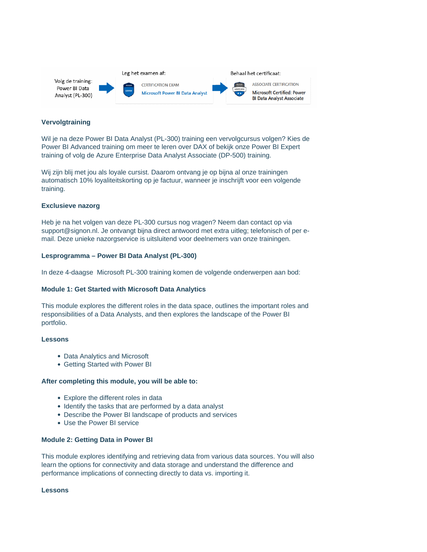

### **Vervolgtraining**

Wil je na deze Power BI Data Analyst (PL-300) training een vervolgcursus volgen? Kies de Power BI Advanced training om meer te leren over DAX of bekijk onze Power BI Expert training of volg de Azure Enterprise Data Analyst Associate (DP-500) training.

Wij zijn blij met jou als loyale cursist. Daarom ontvang je op bijna al onze trainingen automatisch 10% loyaliteitskorting op je factuur, wanneer je inschrijft voor een volgende training.

#### **Exclusieve nazorg**

Heb je na het volgen van deze PL-300 cursus nog vragen? Neem dan contact op via support@signon.nl. Je ontvangt bijna direct antwoord met extra uitleg; telefonisch of per email. Deze unieke nazorgservice is uitsluitend voor deelnemers van onze trainingen.

#### **Lesprogramma – Power BI Data Analyst (PL-300)**

In deze 4-daagse Microsoft PL-300 training komen de volgende onderwerpen aan bod:

### **Module 1: Get Started with Microsoft Data Analytics**

This module explores the different roles in the data space, outlines the important roles and responsibilities of a Data Analysts, and then explores the landscape of the Power BI portfolio.

# **Lessons**

- Data Analytics and Microsoft
- Getting Started with Power BI

### **After completing this module, you will be able to:**

- Explore the different roles in data
- Identify the tasks that are performed by a data analyst
- Describe the Power BI landscape of products and services
- Use the Power BI service

#### **Module 2: Getting Data in Power BI**

This module explores identifying and retrieving data from various data sources. You will also learn the options for connectivity and data storage and understand the difference and performance implications of connecting directly to data vs. importing it.

### **Lessons**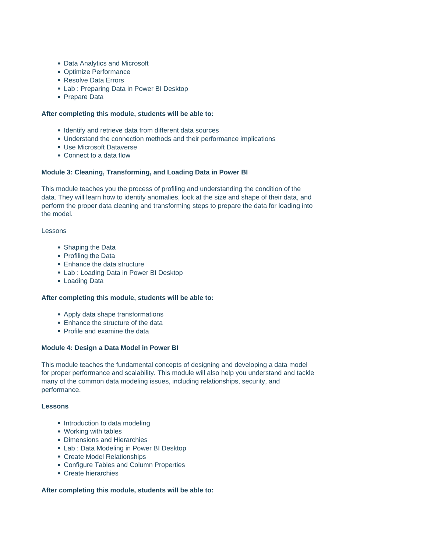- Data Analytics and Microsoft
- Optimize Performance
- Resolve Data Errors
- Lab : Preparing Data in Power BI Desktop
- Prepare Data

# **After completing this module, students will be able to:**

- Identify and retrieve data from different data sources
- Understand the connection methods and their performance implications
- Use Microsoft Dataverse
- Connect to a data flow

### **Module 3: Cleaning, Transforming, and Loading Data in Power BI**

This module teaches you the process of profiling and understanding the condition of the data. They will learn how to identify anomalies, look at the size and shape of their data, and perform the proper data cleaning and transforming steps to prepare the data for loading into the model.

### Lessons

- Shaping the Data
- Profiling the Data
- Enhance the data structure
- Lab : Loading Data in Power BI Desktop
- Loading Data

### **After completing this module, students will be able to:**

- Apply data shape transformations
- Enhance the structure of the data
- Profile and examine the data

### **Module 4: Design a Data Model in Power BI**

This module teaches the fundamental concepts of designing and developing a data model for proper performance and scalability. This module will also help you understand and tackle many of the common data modeling issues, including relationships, security, and performance.

### **Lessons**

- Introduction to data modeling
- Working with tables
- Dimensions and Hierarchies
- Lab : Data Modeling in Power BI Desktop
- Create Model Relationships
- Configure Tables and Column Properties
- Create hierarchies

### **After completing this module, students will be able to:**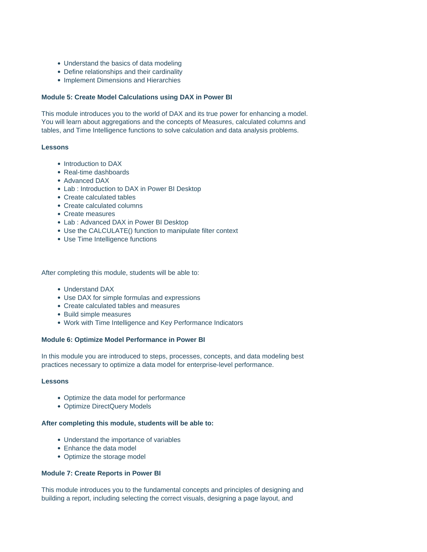- Understand the basics of data modeling
- Define relationships and their cardinality
- Implement Dimensions and Hierarchies

### **Module 5: Create Model Calculations using DAX in Power BI**

This module introduces you to the world of DAX and its true power for enhancing a model. You will learn about aggregations and the concepts of Measures, calculated columns and tables, and Time Intelligence functions to solve calculation and data analysis problems.

### **Lessons**

- Introduction to DAX
- Real-time dashboards
- Advanced DAX
- Lab : Introduction to DAX in Power BI Desktop
- Create calculated tables
- Create calculated columns
- Create measures
- Lab : Advanced DAX in Power BI Desktop
- Use the CALCULATE() function to manipulate filter context
- Use Time Intelligence functions

After completing this module, students will be able to:

- Understand DAX
- Use DAX for simple formulas and expressions
- Create calculated tables and measures
- Build simple measures
- Work with Time Intelligence and Key Performance Indicators

# **Module 6: Optimize Model Performance in Power BI**

In this module you are introduced to steps, processes, concepts, and data modeling best practices necessary to optimize a data model for enterprise-level performance.

### **Lessons**

- Optimize the data model for performance
- Optimize DirectQuery Models

### **After completing this module, students will be able to:**

- Understand the importance of variables
- Enhance the data model
- Optimize the storage model

# **Module 7: Create Reports in Power BI**

This module introduces you to the fundamental concepts and principles of designing and building a report, including selecting the correct visuals, designing a page layout, and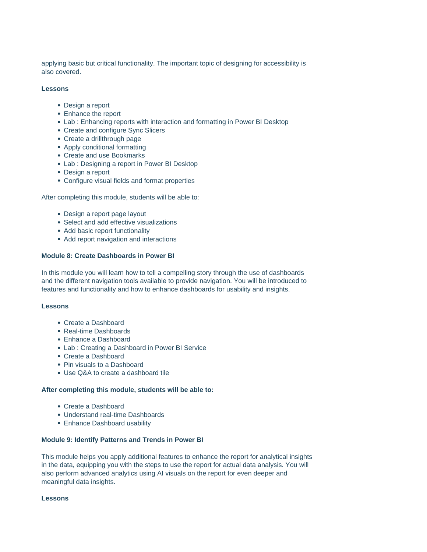applying basic but critical functionality. The important topic of designing for accessibility is also covered.

### **Lessons**

- Design a report
- Enhance the report
- Lab : Enhancing reports with interaction and formatting in Power BI Desktop
- Create and configure Sync Slicers
- Create a drillthrough page
- Apply conditional formatting
- Create and use Bookmarks
- Lab : Designing a report in Power BI Desktop
- Design a report
- Configure visual fields and format properties

After completing this module, students will be able to:

- Design a report page layout
- Select and add effective visualizations
- Add basic report functionality
- Add report navigation and interactions

# **Module 8: Create Dashboards in Power BI**

In this module you will learn how to tell a compelling story through the use of dashboards and the different navigation tools available to provide navigation. You will be introduced to features and functionality and how to enhance dashboards for usability and insights.

# **Lessons**

- Create a Dashboard
- Real-time Dashboards
- Enhance a Dashboard
- Lab : Creating a Dashboard in Power BI Service
- Create a Dashboard
- Pin visuals to a Dashboard
- Use Q&A to create a dashboard tile

# **After completing this module, students will be able to:**

- Create a Dashboard
- Understand real-time Dashboards
- Enhance Dashboard usability

### **Module 9: Identify Patterns and Trends in Power BI**

This module helps you apply additional features to enhance the report for analytical insights in the data, equipping you with the steps to use the report for actual data analysis. You will also perform advanced analytics using AI visuals on the report for even deeper and meaningful data insights.

**Lessons**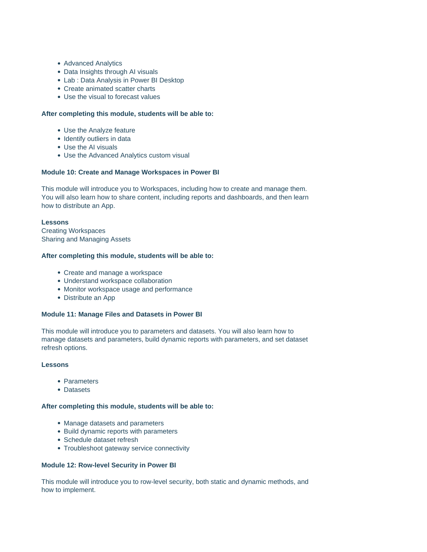- Advanced Analytics
- Data Insights through AI visuals
- Lab : Data Analysis in Power BI Desktop
- Create animated scatter charts
- Use the visual to forecast values

### **After completing this module, students will be able to:**

- Use the Analyze feature
- Identify outliers in data
- Use the AI visuals
- Use the Advanced Analytics custom visual

### **Module 10: Create and Manage Workspaces in Power BI**

This module will introduce you to Workspaces, including how to create and manage them. You will also learn how to share content, including reports and dashboards, and then learn how to distribute an App.

### **Lessons**

Creating Workspaces Sharing and Managing Assets

### **After completing this module, students will be able to:**

- Create and manage a workspace
- Understand workspace collaboration
- Monitor workspace usage and performance
- Distribute an App

### **Module 11: Manage Files and Datasets in Power BI**

This module will introduce you to parameters and datasets. You will also learn how to manage datasets and parameters, build dynamic reports with parameters, and set dataset refresh options.

### **Lessons**

- Parameters
- Datasets

### **After completing this module, students will be able to:**

- Manage datasets and parameters
- Build dynamic reports with parameters
- Schedule dataset refresh
- Troubleshoot gateway service connectivity

### **Module 12: Row-level Security in Power BI**

This module will introduce you to row-level security, both static and dynamic methods, and how to implement.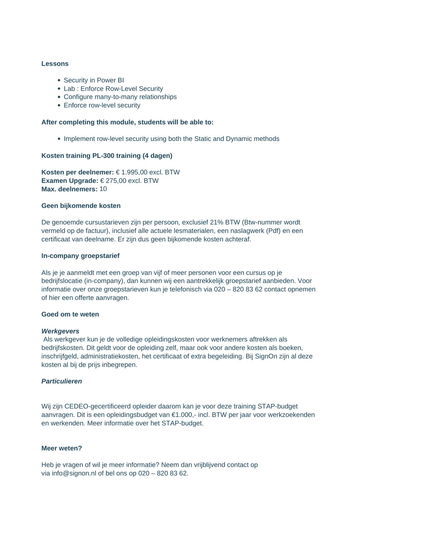### **Lessons**

- Security in Power BI
- Lab : Enforce Row-Level Security
- Configure many-to-many relationships
- Enforce row-level security

### **After completing this module, students will be able to:**

• Implement row-level security using both the Static and Dynamic methods

### **Kosten training PL-300 training (4 dagen)**

**Kosten per deelnemer:** € 1.995,00 excl. BTW **Examen Upgrade:** € 275,00 excl. BTW **Max. deelnemers:** 10

#### **Geen bijkomende kosten**

De genoemde cursustarieven zijn per persoon, exclusief 21% BTW (Btw-nummer wordt vermeld op de factuur), inclusief alle actuele lesmaterialen, een naslagwerk (Pdf) en een certificaat van deelname. Er zijn dus geen bijkomende kosten achteraf.

#### **In-company groepstarief**

Als je je aanmeldt met een groep van vijf of meer personen voor een cursus op je bedrijfslocatie (in-company), dan kunnen wij een aantrekkelijk groepstarief aanbieden. Voor informatie over onze groepstarieven kun je telefonisch via 020 – 820 83 62 contact opnemen of hier een offerte aanvragen.

#### **Goed om te weten**

### **Werkgevers**

Als werkgever kun je de volledige opleidingskosten voor werknemers aftrekken als bedrijfskosten. Dit geldt voor de opleiding zelf, maar ook voor andere kosten als boeken, inschrijfgeld, administratiekosten, het certificaat of extra begeleiding. Bij SignOn zijn al deze kosten al bij de prijs inbegrepen.

# **Particulieren**

Wij zijn CEDEO-gecertificeerd opleider daarom kan je voor deze training STAP-budget aanvragen. Dit is een opleidingsbudget van €1.000,- incl. BTW per jaar voor werkzoekenden en werkenden. Meer informatie over het STAP-budget.

# **Meer weten?**

Heb je vragen of wil je meer informatie? Neem dan vrijblijvend contact op via info@signon.nl of bel ons op 020 – 820 83 62.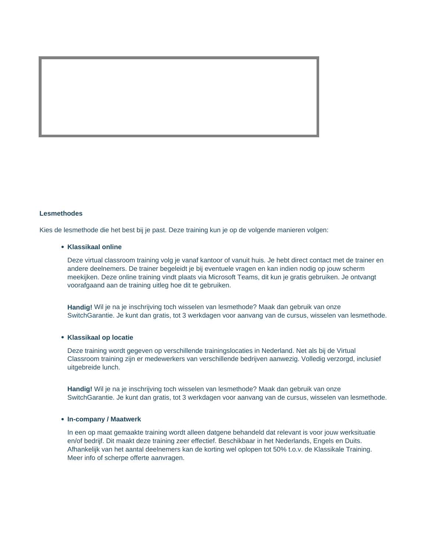#### **Lesmethodes**

Kies de lesmethode die het best bij je past. Deze training kun je op de volgende manieren volgen:

### **Klassikaal online**

Deze virtual classroom training volg je vanaf kantoor of vanuit huis. Je hebt direct contact met de trainer en andere deelnemers. De trainer begeleidt je bij eventuele vragen en kan indien nodig op jouw scherm meekijken. Deze online training vindt plaats via Microsoft Teams, dit kun je gratis gebruiken. Je ontvangt voorafgaand aan de training uitleg hoe dit te gebruiken.

**Handig!** Wil je na je inschrijving toch wisselen van lesmethode? Maak dan gebruik van onze SwitchGarantie. Je kunt dan gratis, tot 3 werkdagen voor aanvang van de cursus, wisselen van lesmethode.

### **Klassikaal op locatie**

Deze training wordt gegeven op verschillende trainingslocaties in Nederland. Net als bij de Virtual Classroom training zijn er medewerkers van verschillende bedrijven aanwezig. Volledig verzorgd, inclusief uitgebreide lunch.

**Handig!** Wil je na je inschrijving toch wisselen van lesmethode? Maak dan gebruik van onze SwitchGarantie. Je kunt dan gratis, tot 3 werkdagen voor aanvang van de cursus, wisselen van lesmethode.

#### **In-company / Maatwerk**

In een op maat gemaakte training wordt alleen datgene behandeld dat relevant is voor jouw werksituatie en/of bedrijf. Dit maakt deze training zeer effectief. Beschikbaar in het Nederlands, Engels en Duits. Afhankelijk van het aantal deelnemers kan de korting wel oplopen tot 50% t.o.v. de Klassikale Training. Meer info of scherpe offerte aanvragen.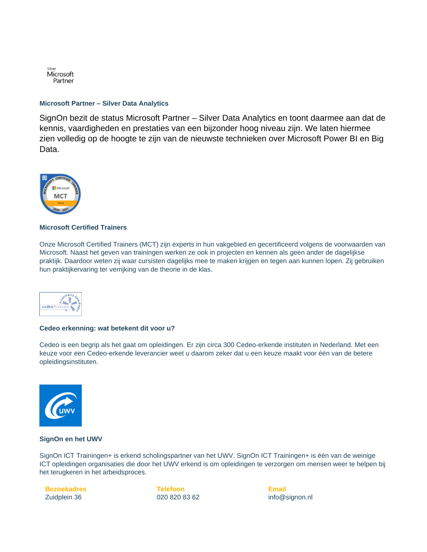

### **Microsoft Partner – Silver Data Analytics**

SignOn bezit de status Microsoft Partner – Silver Data Analytics en toont daarmee aan dat de kennis, vaardigheden en prestaties van een bijzonder hoog niveau zijn. We laten hiermee zien volledig op de hoogte te zijn van de nieuwste technieken over Microsoft Power BI en Big Data.



# **Microsoft Certified Trainers**

Onze Microsoft Certified Trainers (MCT) zijn experts in hun vakgebied en gecertificeerd volgens de voorwaarden van Microsoft. Naast het geven van trainingen werken ze ook in projecten en kennen als geen ander de dagelijkse praktijk. Daardoor weten zij waar cursisten dagelijks mee te maken krijgen en tegen aan kunnen lopen. Zij gebruiken hun praktijkervaring ter verrijking van de theorie in de klas.



#### **Cedeo erkenning: wat betekent dit voor u?**

Cedeo is een begrip als het gaat om opleidingen. Er zijn circa 300 Cedeo-erkende instituten in Nederland. Met een keuze voor een Cedeo-erkende leverancier weet u daarom zeker dat u een keuze maakt voor één van de betere opleidingsinstituten.



### **SignOn en het UWV**

SignOn ICT Trainingen+ is erkend scholingspartner van het UWV. SignOn ICT Trainingen+ is één van de weinige ICT opleidingen organisaties die door het UWV erkend is om opleidingen te verzorgen om mensen weer te helpen bij het terugkeren in het arbeidsproces.

 **Bezoekadres** Zuidplein 36

**Telefoon** 020 820 83 62 **Email** info@signon.nl